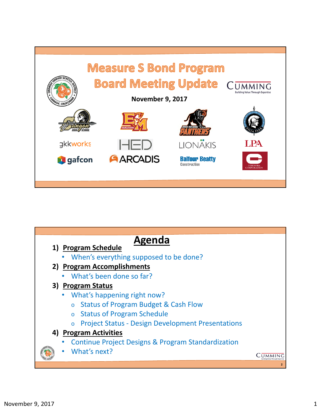

| Agenda                                                               |  |
|----------------------------------------------------------------------|--|
| 1) Program Schedule                                                  |  |
| When's everything supposed to be done?                               |  |
| 2) Program Accomplishments                                           |  |
| What's been done so far?                                             |  |
| 3) Program Status                                                    |  |
| What's happening right now?                                          |  |
| <b>Status of Program Budget &amp; Cash Flow</b><br>$\overline{O}$    |  |
| <b>Status of Program Schedule</b><br>$\circ$                         |  |
| <b>Project Status - Design Development Presentations</b><br>$\Omega$ |  |
| 4) Program Activities                                                |  |
| Continue Project Designs & Program Standardization                   |  |
| What's next?                                                         |  |
|                                                                      |  |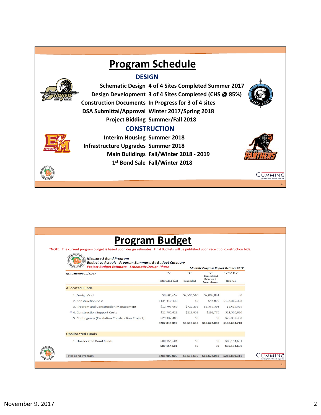

| *NOTE: The current program budget is based upon design estimates. Final Budgets will be published upon receipt of construction bids.<br><b>Measure S Bond Program</b><br><b>Budget vs Actuals - Program Summary, By Budget Category</b> | <b>Program Budget</b>        |                 |                                                    |                                 |                                             |  |  |
|-----------------------------------------------------------------------------------------------------------------------------------------------------------------------------------------------------------------------------------------|------------------------------|-----------------|----------------------------------------------------|---------------------------------|---------------------------------------------|--|--|
| <b>Project Budget Estimate - Schematic Design Phase</b>                                                                                                                                                                                 |                              |                 |                                                    |                                 | <b>Monthly Progress Report October 2017</b> |  |  |
| QSS Data thru 10/31/17                                                                                                                                                                                                                  | "A"<br><b>Estimated Cost</b> | "B"<br>Expended | "C"<br>Committed<br>Balance /<br><b>Encumbered</b> | $"D = A-B-C"$<br><b>Balance</b> |                                             |  |  |
| <b>Allocated Funds</b>                                                                                                                                                                                                                  |                              |                 |                                                    |                                 |                                             |  |  |
| 1. Design Cost                                                                                                                                                                                                                          | \$9,605,657                  | \$2,596,566     | \$7,009,091                                        | \$0                             |                                             |  |  |
| 2. Construction Cost                                                                                                                                                                                                                    | \$134,410,138                | SO <sub>2</sub> | \$44,800                                           | \$134,365,338                   |                                             |  |  |
| 3. Program and Construction Management                                                                                                                                                                                                  | \$12,706,689                 | \$722,233       | \$8,369,391                                        | \$3,615,065                     |                                             |  |  |
| * 4. Construction Support Costs                                                                                                                                                                                                         | \$21,785,428                 | \$219,832       | \$198,776                                          | \$21,366,820                    |                                             |  |  |
| SO <sub>2</sub><br>\$29,337,488<br>5. Contingency (Escalation, Construction, Project)<br>\$207,845,399<br>\$3,538,630                                                                                                                   | SO <sub>2</sub>              | \$29,337,488    |                                                    |                                 |                                             |  |  |
|                                                                                                                                                                                                                                         |                              |                 | \$15,622,058                                       | \$188,684,710                   |                                             |  |  |
| <b>Unallocated Funds</b>                                                                                                                                                                                                                |                              |                 |                                                    |                                 |                                             |  |  |
| 1. Unallocated Bond Funds                                                                                                                                                                                                               | \$80,154,601                 | 50              | S <sub>O</sub>                                     | \$80,154,601                    |                                             |  |  |
|                                                                                                                                                                                                                                         | \$80,154,601                 | \$0             | \$0                                                | \$80,154,601                    |                                             |  |  |
| <b>Total Bond Program</b>                                                                                                                                                                                                               | \$288,000,000                | \$3,538,630     | \$15,622,058                                       | \$268,839,311                   |                                             |  |  |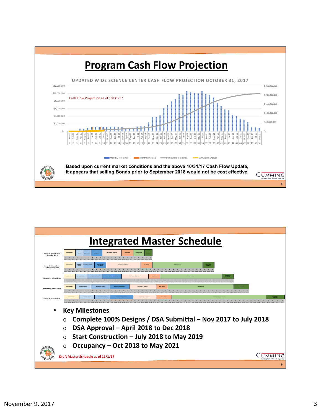

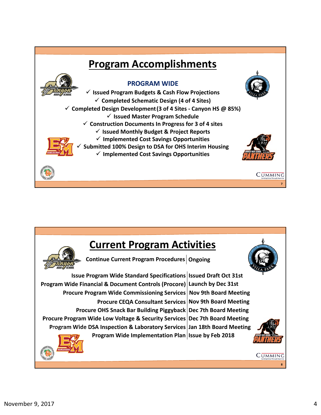